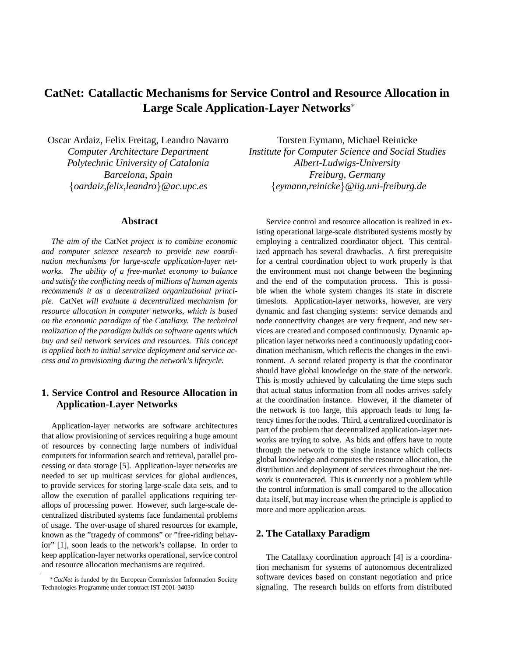# **CatNet: Catallactic Mechanisms for Service Control and Resource Allocation in Large Scale Application-Layer Networks**<sup>∗</sup>

Oscar Ardaiz, Felix Freitag, Leandro Navarro *Computer Architecture Department Polytechnic University of Catalonia Barcelona, Spain* {*oardaiz,felix,leandro*}*@ac.upc.es*

#### **Abstract**

*The aim of the* CatNet *project is to combine economic and computer science research to provide new coordination mechanisms for large-scale application-layer networks. The ability of a free-market economy to balance and satisfy the conflicting needs of millions of human agents recommends it as a decentralized organizational principle.* CatNet *will evaluate a decentralized mechanism for resource allocation in computer networks, which is based on the economic paradigm of the Catallaxy. The technical realization of the paradigm builds on software agents which buy and sell network services and resources. This concept is applied both to initial service deployment and service access and to provisioning during the network's lifecycle.*

## **1. Service Control and Resource Allocation in Application-Layer Networks**

Application-layer networks are software architectures that allow provisioning of services requiring a huge amount of resources by connecting large numbers of individual computers for information search and retrieval, parallel processing or data storage [5]. Application-layer networks are needed to set up multicast services for global audiences, to provide services for storing large-scale data sets, and to allow the execution of parallel applications requiring teraflops of processing power. However, such large-scale decentralized distributed systems face fundamental problems of usage. The over-usage of shared resources for example, known as the "tragedy of commons" or "free-riding behavior" [1], soon leads to the network's collapse. In order to keep application-layer networks operational, service control and resource allocation mechanisms are required.

Torsten Eymann, Michael Reinicke *Institute for Computer Science and Social Studies Albert-Ludwigs-University Freiburg, Germany* {*eymann,reinicke*}*@iig.uni-freiburg.de*

Service control and resource allocation is realized in existing operational large-scale distributed systems mostly by employing a centralized coordinator object. This centralized approach has several drawbacks. A first prerequisite for a central coordination object to work properly is that the environment must not change between the beginning and the end of the computation process. This is possible when the whole system changes its state in discrete timeslots. Application-layer networks, however, are very dynamic and fast changing systems: service demands and node connectivity changes are very frequent, and new services are created and composed continuously. Dynamic application layer networks need a continuously updating coordination mechanism, which reflects the changes in the environment. A second related property is that the coordinator should have global knowledge on the state of the network. This is mostly achieved by calculating the time steps such that actual status information from all nodes arrives safely at the coordination instance. However, if the diameter of the network is too large, this approach leads to long latency times for the nodes. Third, a centralized coordinator is part of the problem that decentralized application-layer networks are trying to solve. As bids and offers have to route through the network to the single instance which collects global knowledge and computes the resource allocation, the distribution and deployment of services throughout the network is counteracted. This is currently not a problem while the control information is small compared to the allocation data itself, but may increase when the principle is applied to more and more application areas.

#### **2. The Catallaxy Paradigm**

The Catallaxy coordination approach [4] is a coordination mechanism for systems of autonomous decentralized software devices based on constant negotiation and price signaling. The research builds on efforts from distributed

<sup>∗</sup>*CatNet* is funded by the European Commission Information Society Technologies Programme under contract IST-2001-34030